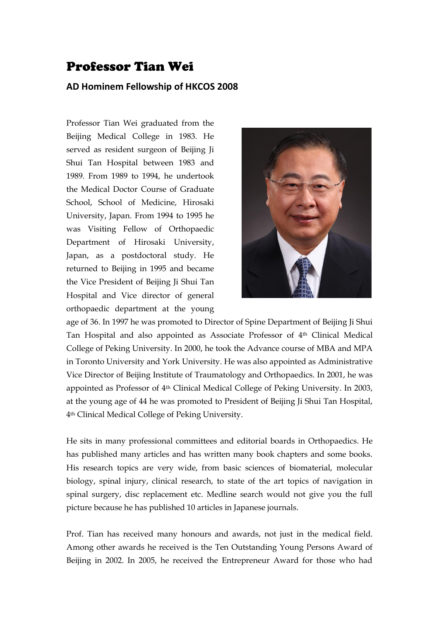## Professor Tian Wei

## **AD Hominem Fellowship of HKCOS 2008**

Professor Tian Wei graduated from the Beijing Medical College in 1983. He served as resident surgeon of Beijing Ji Shui Tan Hospital between 1983 and 1989. From 1989 to 1994, he undertook the Medical Doctor Course of Graduate School, School of Medicine, Hirosaki University, Japan. From 1994 to 1995 he was Visiting Fellow of Orthopaedic Department of Hirosaki University, Japan, as a postdoctoral study. He returned to Beijing in 1995 and became the Vice President of Beijing Ji Shui Tan Hospital and Vice director of general orthopaedic department at the young



age of 36. In 1997 he was promoted to Director of Spine Department of Beijing Ji Shui Tan Hospital and also appointed as Associate Professor of 4th Clinical Medical College of Peking University. In 2000, he took the Advance course of MBA and MPA in Toronto University and York University. He was also appointed as Administrative Vice Director of Beijing Institute of Traumatology and Orthopaedics. In 2001, he was appointed as Professor of 4th Clinical Medical College of Peking University. In 2003, at the young age of 44 he was promoted to President of Beijing Ji Shui Tan Hospital, 4th Clinical Medical College of Peking University.

He sits in many professional committees and editorial boards in Orthopaedics. He has published many articles and has written many book chapters and some books. His research topics are very wide, from basic sciences of biomaterial, molecular biology, spinal injury, clinical research, to state of the art topics of navigation in spinal surgery, disc replacement etc. Medline search would not give you the full picture because he has published 10 articles in Japanese journals.

Prof. Tian has received many honours and awards, not just in the medical field. Among other awards he received is the Ten Outstanding Young Persons Award of Beijing in 2002. In 2005, he received the Entrepreneur Award for those who had